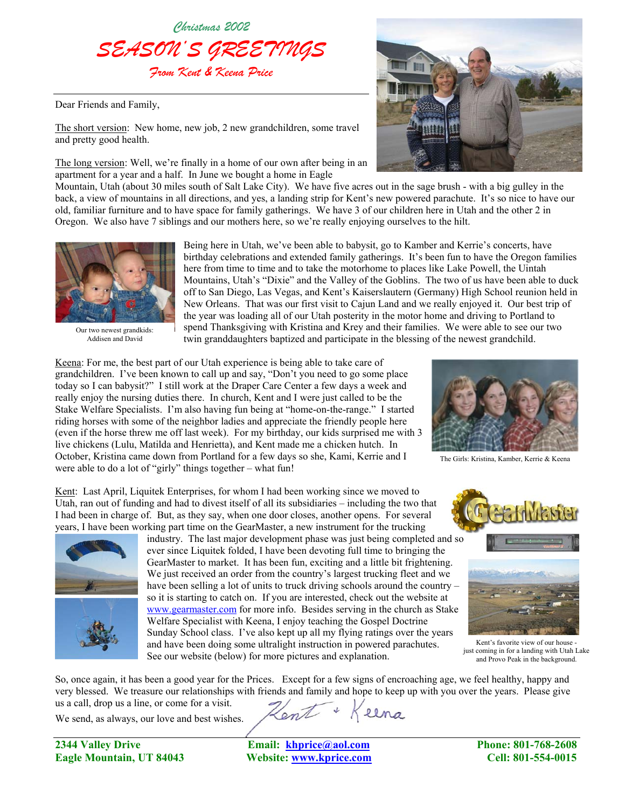

Dear Friends and Family,

The short version: New home, new job, 2 new grandchildren, some travel and pretty good health.

The long version: Well, we're finally in a home of our own after being in an apartment for a year and a half. In June we bought a home in Eagle



Mountain, Utah (about 30 miles south of Salt Lake City). We have five acres out in the sage brush - with a big gulley in the back, a view of mountains in all directions, and yes, a landing strip for Kent's new powered parachute. It's so nice to have our old, familiar furniture and to have space for family gatherings. We have 3 of our children here in Utah and the other 2 in Oregon. We also have 7 siblings and our mothers here, so we're really enjoying ourselves to the hilt.



Addisen and David

Being here in Utah, we've been able to babysit, go to Kamber and Kerrie's concerts, have birthday celebrations and extended family gatherings. It's been fun to have the Oregon families here from time to time and to take the motorhome to places like Lake Powell, the Uintah Mountains, Utah's "Dixie" and the Valley of the Goblins. The two of us have been able to duck off to San Diego, Las Vegas, and Kent's Kaiserslautern (Germany) High School reunion held in New Orleans. That was our first visit to Cajun Land and we really enjoyed it. Our best trip of the year was loading all of our Utah posterity in the motor home and driving to Portland to spend Thanksgiving with Kristina and Krey and their families. We were able to see our two Our two newest grandkids:<br>
Addisen and David twin granddaughters baptized and participate in the blessing of the newest grandchild.

Keena: For me, the best part of our Utah experience is being able to take care of grandchildren. I've been known to call up and say, "Don't you need to go some place today so I can babysit?" I still work at the Draper Care Center a few days a week and really enjoy the nursing duties there. In church, Kent and I were just called to be the Stake Welfare Specialists. I'm also having fun being at "home-on-the-range." I started riding horses with some of the neighbor ladies and appreciate the friendly people here (even if the horse threw me off last week). For my birthday, our kids surprised me with 3 live chickens (Lulu, Matilda and Henrietta), and Kent made me a chicken hutch. In October, Kristina came down from Portland for a few days so she, Kami, Kerrie and I were able to do a lot of "girly" things together – what fun!



The Girls: Kristina, Kamber, Kerrie & Keena

Kent: Last April, Liquitek Enterprises, for whom I had been working since we moved to Utah, ran out of funding and had to divest itself of all its subsidiaries – including the two that I had been in charge of. But, as they say, when one door closes, another opens. For several years, I have been working part time on the GearMaster, a new instrument for the trucking



industry. The last major development phase was just being completed a nd so ever since Liquitek folded, I have been devoting full time to bringing the GearMaster to market. It has been fun, exciting and a little bit frightening. We just received an order from the country's largest trucking fleet and we have been selling a lot of units to truck driving schools around the country – so it is starting to catch on. If you are interested, check out the website at [www.gearmaster.com](http://www.gearmaster.com/) for more info. Besides serving in the church as Stake Welfare Specialist with Keena, I enjoy teaching the Gospel Doctrine Sunday School class. I've also kept up all my flying ratings over the years and have been doing some ultralight instruction in powered parachutes. Kent's favorite view of our house -<br>See recognished (haloo) for more stighteness and applauding See our website (below) for more pictures and explanation. The seed our website (below) for more pictures and explanation.



So, once again, it has been a good year for the Prices. Except for a few signs of encroaching age, we feel healthy, happy and very blessed. We treasure our relationships with friends and family and hope to keep up with you over the years. Please give us a call, drop us a line, or come for a visit.

We send, as always, our love and best wishes.

Kent Keena

Eagle Mountain, UT 84043 Website: **[www.kprice.com](http://www.kprice.com/)** Cell: 801-554-0015

**2344 Valley Drive Email: [khprice@aol.com](mailto:khprice@aol.com) Phone: 801-768-2608**